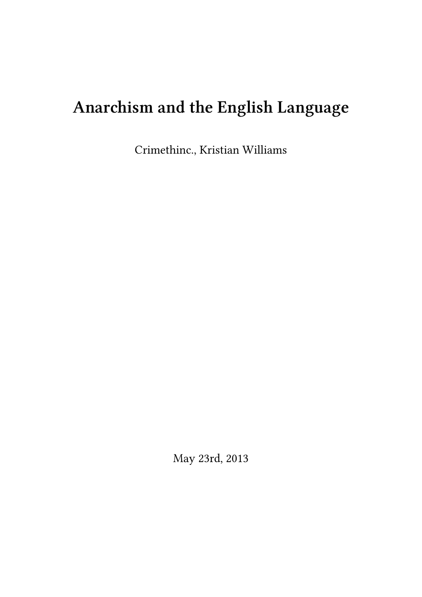# **Anarchism and the English Language**

Crimethinc., Kristian Williams

May 23rd, 2013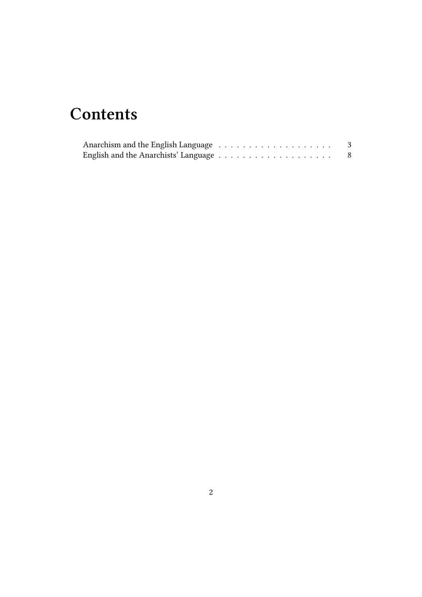## **Contents**

| English and the Anarchists' Language $\,\ldots\, \ldots\, \ldots\, \ldots\, \ldots\, \ldots\, \ldots\, \ldots\,$ |  |  |  |  |  |  |  |  |  |  |  |
|------------------------------------------------------------------------------------------------------------------|--|--|--|--|--|--|--|--|--|--|--|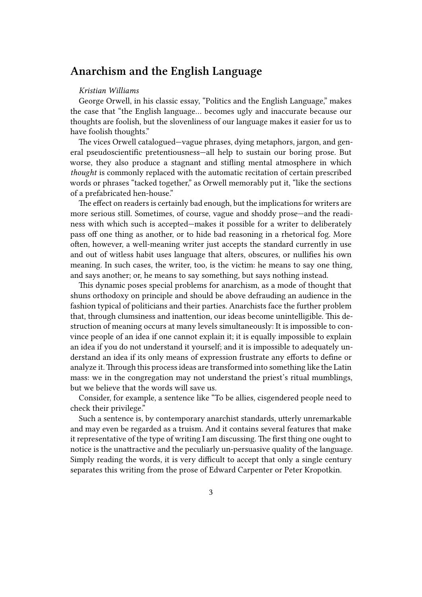#### **Anarchism and the English Language**

#### *Kristian Williams*

George Orwell, in his classic essay, "Politics and the English Language," makes the case that "the English language… becomes ugly and inaccurate because our thoughts are foolish, but the slovenliness of our language makes it easier for us to have foolish thoughts."

The vices Orwell catalogued—vague phrases, dying metaphors, jargon, and general pseudoscientific pretentiousness—all help to sustain our boring prose. But worse, they also produce a stagnant and stifling mental atmosphere in which *thought* is commonly replaced with the automatic recitation of certain prescribed words or phrases "tacked together," as Orwell memorably put it, "like the sections of a prefabricated hen-house."

The effect on readers is certainly bad enough, but the implications for writers are more serious still. Sometimes, of course, vague and shoddy prose—and the readiness with which such is accepted—makes it possible for a writer to deliberately pass off one thing as another, or to hide bad reasoning in a rhetorical fog. More often, however, a well-meaning writer just accepts the standard currently in use and out of witless habit uses language that alters, obscures, or nullifies his own meaning. In such cases, the writer, too, is the victim: he means to say one thing, and says another; or, he means to say something, but says nothing instead.

This dynamic poses special problems for anarchism, as a mode of thought that shuns orthodoxy on principle and should be above defrauding an audience in the fashion typical of politicians and their parties. Anarchists face the further problem that, through clumsiness and inattention, our ideas become unintelligible. This destruction of meaning occurs at many levels simultaneously: It is impossible to convince people of an idea if one cannot explain it; it is equally impossible to explain an idea if you do not understand it yourself; and it is impossible to adequately understand an idea if its only means of expression frustrate any efforts to define or analyze it.Through this process ideas are transformed into something like the Latin mass: we in the congregation may not understand the priest's ritual mumblings, but we believe that the words will save us.

Consider, for example, a sentence like "To be allies, cisgendered people need to check their privilege."

Such a sentence is, by contemporary anarchist standards, utterly unremarkable and may even be regarded as a truism. And it contains several features that make it representative of the type of writing I am discussing. The first thing one ought to notice is the unattractive and the peculiarly un-persuasive quality of the language. Simply reading the words, it is very difficult to accept that only a single century separates this writing from the prose of Edward Carpenter or Peter Kropotkin.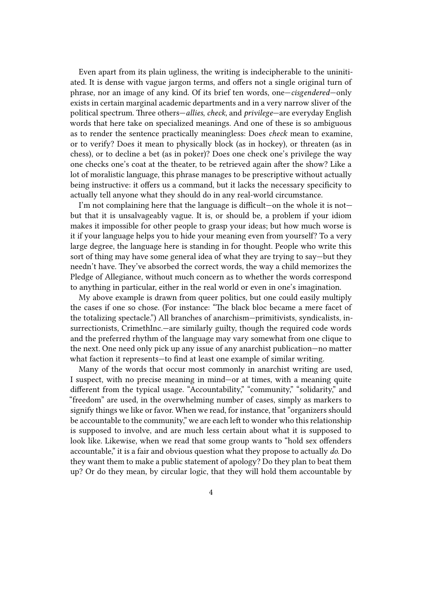Even apart from its plain ugliness, the writing is indecipherable to the uninitiated. It is dense with vague jargon terms, and offers not a single original turn of phrase, nor an image of any kind. Of its brief ten words, one—*cisgendered*—only exists in certain marginal academic departments and in a very narrow sliver of the political spectrum. Three others—*allies*, *check*, and *privilege*—are everyday English words that here take on specialized meanings. And one of these is so ambiguous as to render the sentence practically meaningless: Does *check* mean to examine, or to verify? Does it mean to physically block (as in hockey), or threaten (as in chess), or to decline a bet (as in poker)? Does one check one's privilege the way one checks one's coat at the theater, to be retrieved again after the show? Like a lot of moralistic language, this phrase manages to be prescriptive without actually being instructive: it offers us a command, but it lacks the necessary specificity to actually tell anyone what they should do in any real-world circumstance.

I'm not complaining here that the language is difficult—on the whole it is not but that it is unsalvageably vague. It is, or should be, a problem if your idiom makes it impossible for other people to grasp your ideas; but how much worse is it if your language helps you to hide your meaning even from yourself? To a very large degree, the language here is standing in for thought. People who write this sort of thing may have some general idea of what they are trying to say—but they needn't have. They've absorbed the correct words, the way a child memorizes the Pledge of Allegiance, without much concern as to whether the words correspond to anything in particular, either in the real world or even in one's imagination.

My above example is drawn from queer politics, but one could easily multiply the cases if one so chose. (For instance: "The black bloc became a mere facet of the totalizing spectacle.") All branches of anarchism—primitivists, syndicalists, insurrectionists, CrimethInc.—are similarly guilty, though the required code words and the preferred rhythm of the language may vary somewhat from one clique to the next. One need only pick up any issue of any anarchist publication—no matter what faction it represents—to find at least one example of similar writing.

Many of the words that occur most commonly in anarchist writing are used, I suspect, with no precise meaning in mind—or at times, with a meaning quite different from the typical usage. "Accountability," "community," "solidarity," and "freedom" are used, in the overwhelming number of cases, simply as markers to signify things we like or favor. When we read, for instance, that "organizers should be accountable to the community," we are each left to wonder who this relationship is supposed to involve, and are much less certain about what it is supposed to look like. Likewise, when we read that some group wants to "hold sex offenders accountable," it is a fair and obvious question what they propose to actually *do.* Do they want them to make a public statement of apology? Do they plan to beat them up? Or do they mean, by circular logic, that they will hold them accountable by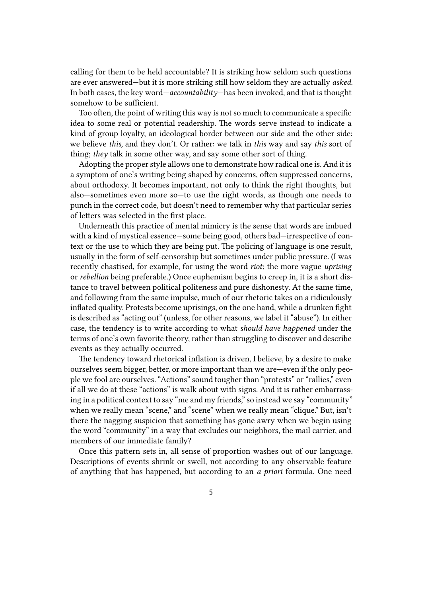calling for them to be held accountable? It is striking how seldom such questions are ever answered—but it is more striking still how seldom they are actually *asked.* In both cases, the key word—*accountability*—has been invoked, and that is thought somehow to be sufficient.

Too often, the point of writing this way is not so much to communicate a specific idea to some real or potential readership. The words serve instead to indicate a kind of group loyalty, an ideological border between our side and the other side: we believe *this,* and they don't. Or rather: we talk in *this* way and say *this* sort of thing; *they* talk in some other way, and say some other sort of thing.

Adopting the proper style allows one to demonstrate how radical one is. And it is a symptom of one's writing being shaped by concerns, often suppressed concerns, about orthodoxy. It becomes important, not only to think the right thoughts, but also—sometimes even more so—to use the right words, as though one needs to punch in the correct code, but doesn't need to remember why that particular series of letters was selected in the first place.

Underneath this practice of mental mimicry is the sense that words are imbued with a kind of mystical essence—some being good, others bad—irrespective of context or the use to which they are being put. The policing of language is one result, usually in the form of self-censorship but sometimes under public pressure. (I was recently chastised, for example, for using the word *riot*; the more vague *uprising* or *rebellion* being preferable.) Once euphemism begins to creep in, it is a short distance to travel between political politeness and pure dishonesty. At the same time, and following from the same impulse, much of our rhetoric takes on a ridiculously inflated quality. Protests become uprisings, on the one hand, while a drunken fight is described as "acting out" (unless, for other reasons, we label it "abuse"). In either case, the tendency is to write according to what *should have happened* under the terms of one's own favorite theory, rather than struggling to discover and describe events as they actually occurred.

The tendency toward rhetorical inflation is driven, I believe, by a desire to make ourselves seem bigger, better, or more important than we are—even if the only people we fool are ourselves. "Actions" sound tougher than "protests" or "rallies," even if all we do at these "actions" is walk about with signs. And it is rather embarrassing in a political context to say "me and my friends," so instead we say "community" when we really mean "scene," and "scene" when we really mean "clique." But, isn't there the nagging suspicion that something has gone awry when we begin using the word "community" in a way that excludes our neighbors, the mail carrier, and members of our immediate family?

Once this pattern sets in, all sense of proportion washes out of our language. Descriptions of events shrink or swell, not according to any observable feature of anything that has happened, but according to an *a priori* formula. One need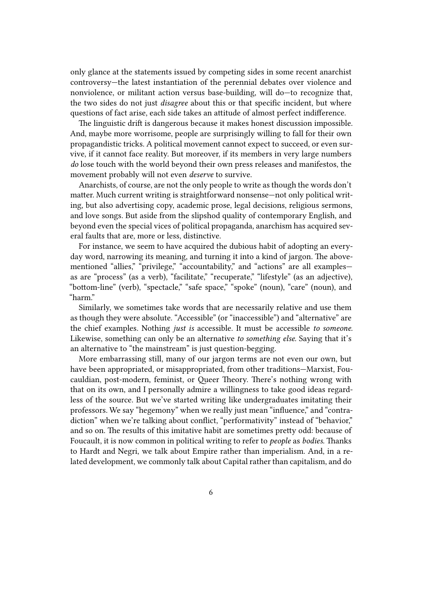only glance at the statements issued by competing sides in some recent anarchist controversy—the latest instantiation of the perennial debates over violence and nonviolence, or militant action versus base-building, will do—to recognize that, the two sides do not just *disagree* about this or that specific incident, but where questions of fact arise, each side takes an attitude of almost perfect indifference.

The linguistic drift is dangerous because it makes honest discussion impossible. And, maybe more worrisome, people are surprisingly willing to fall for their own propagandistic tricks. A political movement cannot expect to succeed, or even survive, if it cannot face reality. But moreover, if its members in very large numbers *do* lose touch with the world beyond their own press releases and manifestos, the movement probably will not even *deserve* to survive.

Anarchists, of course, are not the only people to write as though the words don't matter. Much current writing is straightforward nonsense—not only political writing, but also advertising copy, academic prose, legal decisions, religious sermons, and love songs. But aside from the slipshod quality of contemporary English, and beyond even the special vices of political propaganda, anarchism has acquired several faults that are, more or less, distinctive.

For instance, we seem to have acquired the dubious habit of adopting an everyday word, narrowing its meaning, and turning it into a kind of jargon. The abovementioned "allies," "privilege," "accountability," and "actions" are all examplesas are "process" (as a verb), "facilitate," "recuperate," "lifestyle" (as an adjective), "bottom-line" (verb), "spectacle," "safe space," "spoke" (noun), "care" (noun), and "harm."

Similarly, we sometimes take words that are necessarily relative and use them as though they were absolute. "Accessible" (or "inaccessible") and "alternative" are the chief examples. Nothing *just is* accessible. It must be accessible *to someone.* Likewise, something can only be an alternative *to something else.* Saying that it's an alternative to "the mainstream" is just question-begging.

More embarrassing still, many of our jargon terms are not even our own, but have been appropriated, or misappropriated, from other traditions—Marxist, Foucauldian, post-modern, feminist, or Queer Theory. There's nothing wrong with that on its own, and I personally admire a willingness to take good ideas regardless of the source. But we've started writing like undergraduates imitating their professors. We say "hegemony" when we really just mean "influence," and "contradiction" when we're talking about conflict, "performativity" instead of "behavior," and so on. The results of this imitative habit are sometimes pretty odd: because of Foucault, it is now common in political writing to refer to *people* as *bodies.* Thanks to Hardt and Negri, we talk about Empire rather than imperialism. And, in a related development, we commonly talk about Capital rather than capitalism, and do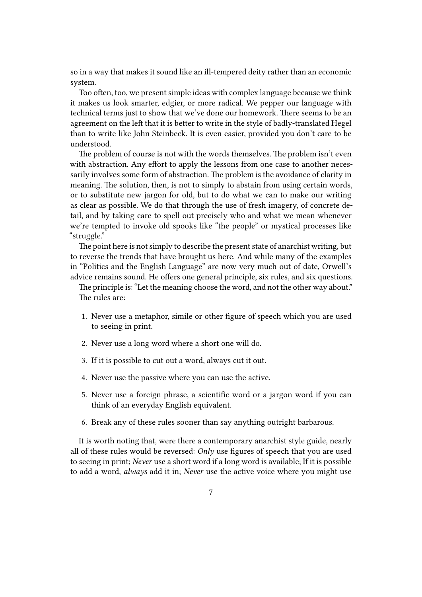so in a way that makes it sound like an ill-tempered deity rather than an economic system.

Too often, too, we present simple ideas with complex language because we think it makes us look smarter, edgier, or more radical. We pepper our language with technical terms just to show that we've done our homework. There seems to be an agreement on the left that it is better to write in the style of badly-translated Hegel than to write like John Steinbeck. It is even easier, provided you don't care to be understood.

The problem of course is not with the words themselves. The problem isn't even with abstraction. Any effort to apply the lessons from one case to another necessarily involves some form of abstraction. The problem is the avoidance of clarity in meaning. The solution, then, is not to simply to abstain from using certain words, or to substitute new jargon for old, but to do what we can to make our writing as clear as possible. We do that through the use of fresh imagery, of concrete detail, and by taking care to spell out precisely who and what we mean whenever we're tempted to invoke old spooks like "the people" or mystical processes like "struggle."

The point here is not simply to describe the present state of anarchist writing, but to reverse the trends that have brought us here. And while many of the examples in "Politics and the English Language" are now very much out of date, Orwell's advice remains sound. He offers one general principle, six rules, and six questions.

The principle is: "Let the meaning choose the word, and not the other way about." The rules are:

- 1. Never use a metaphor, simile or other figure of speech which you are used to seeing in print.
- 2. Never use a long word where a short one will do.
- 3. If it is possible to cut out a word, always cut it out.
- 4. Never use the passive where you can use the active.
- 5. Never use a foreign phrase, a scientific word or a jargon word if you can think of an everyday English equivalent.
- 6. Break any of these rules sooner than say anything outright barbarous.

It is worth noting that, were there a contemporary anarchist style guide, nearly all of these rules would be reversed: *Only* use figures of speech that you are used to seeing in print; *Never* use a short word if a long word is available; If it is possible to add a word, *always* add it in; *Never* use the active voice where you might use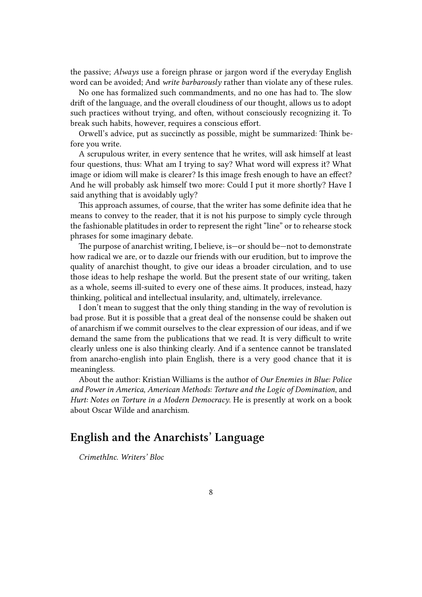the passive; *Always* use a foreign phrase or jargon word if the everyday English word can be avoided; And *write barbarously* rather than violate any of these rules.

No one has formalized such commandments, and no one has had to. The slow drift of the language, and the overall cloudiness of our thought, allows us to adopt such practices without trying, and often, without consciously recognizing it. To break such habits, however, requires a conscious effort.

Orwell's advice, put as succinctly as possible, might be summarized: Think before you write.

A scrupulous writer, in every sentence that he writes, will ask himself at least four questions, thus: What am I trying to say? What word will express it? What image or idiom will make is clearer? Is this image fresh enough to have an effect? And he will probably ask himself two more: Could I put it more shortly? Have I said anything that is avoidably ugly?

This approach assumes, of course, that the writer has some definite idea that he means to convey to the reader, that it is not his purpose to simply cycle through the fashionable platitudes in order to represent the right "line" or to rehearse stock phrases for some imaginary debate.

The purpose of anarchist writing, I believe, is—or should be—not to demonstrate how radical we are, or to dazzle our friends with our erudition, but to improve the quality of anarchist thought, to give our ideas a broader circulation, and to use those ideas to help reshape the world. But the present state of our writing, taken as a whole, seems ill-suited to every one of these aims. It produces, instead, hazy thinking, political and intellectual insularity, and, ultimately, irrelevance.

I don't mean to suggest that the only thing standing in the way of revolution is bad prose. But it is possible that a great deal of the nonsense could be shaken out of anarchism if we commit ourselves to the clear expression of our ideas, and if we demand the same from the publications that we read. It is very difficult to write clearly unless one is also thinking clearly. And if a sentence cannot be translated from anarcho-english into plain English, there is a very good chance that it is meaningless.

About the author: Kristian Williams is the author of *Our Enemies in Blue: Police and Power in America*, *American Methods: Torture and the Logic of Domination*, and *Hurt: Notes on Torture in a Modern Democracy*. He is presently at work on a book about Oscar Wilde and anarchism.

### **English and the Anarchists' Language**

*CrimethInc. Writers' Bloc*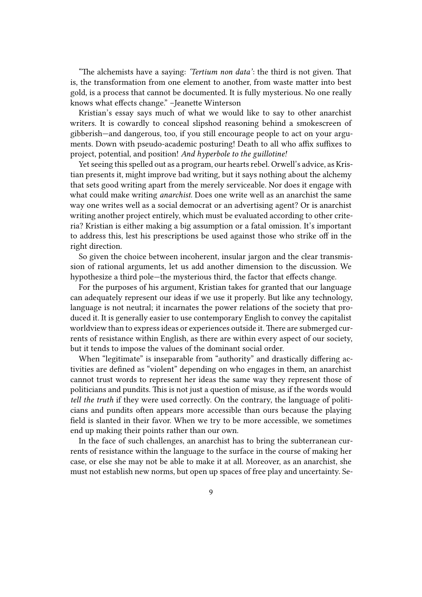"The alchemists have a saying: *'Tertium non data'*: the third is not given. That is, the transformation from one element to another, from waste matter into best gold, is a process that cannot be documented. It is fully mysterious. No one really knows what effects change." –Jeanette Winterson

Kristian's essay says much of what we would like to say to other anarchist writers. It is cowardly to conceal slipshod reasoning behind a smokescreen of gibberish—and dangerous, too, if you still encourage people to act on your arguments. Down with pseudo-academic posturing! Death to all who affix suffixes to project, potential, and position! *And hyperbole to the guillotine!*

Yet seeing this spelled out as a program, our hearts rebel. Orwell's advice, as Kristian presents it, might improve bad writing, but it says nothing about the alchemy that sets good writing apart from the merely serviceable. Nor does it engage with what could make writing *anarchist.* Does one write well as an anarchist the same way one writes well as a social democrat or an advertising agent? Or is anarchist writing another project entirely, which must be evaluated according to other criteria? Kristian is either making a big assumption or a fatal omission. It's important to address this, lest his prescriptions be used against those who strike off in the right direction.

So given the choice between incoherent, insular jargon and the clear transmission of rational arguments, let us add another dimension to the discussion. We hypothesize a third pole—the mysterious third, the factor that effects change.

For the purposes of his argument, Kristian takes for granted that our language can adequately represent our ideas if we use it properly. But like any technology, language is not neutral; it incarnates the power relations of the society that produced it. It is generally easier to use contemporary English to convey the capitalist worldview than to express ideas or experiences outside it. There are submerged currents of resistance within English, as there are within every aspect of our society, but it tends to impose the values of the dominant social order.

When "legitimate" is inseparable from "authority" and drastically differing activities are defined as "violent" depending on who engages in them, an anarchist cannot trust words to represent her ideas the same way they represent those of politicians and pundits. This is not just a question of misuse, as if the words would *tell the truth* if they were used correctly. On the contrary, the language of politicians and pundits often appears more accessible than ours because the playing field is slanted in their favor. When we try to be more accessible, we sometimes end up making their points rather than our own.

In the face of such challenges, an anarchist has to bring the subterranean currents of resistance within the language to the surface in the course of making her case, or else she may not be able to make it at all. Moreover, as an anarchist, she must not establish new norms, but open up spaces of free play and uncertainty. Se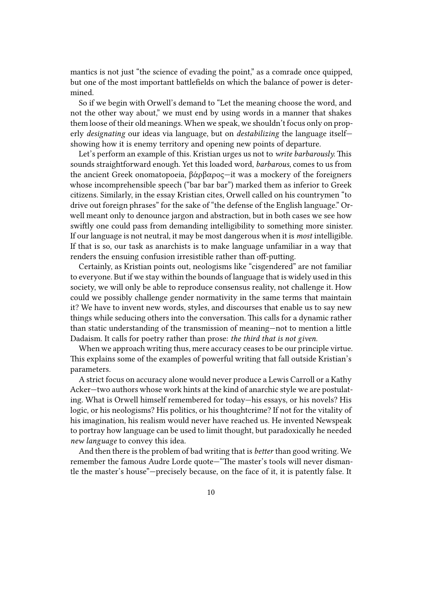mantics is not just "the science of evading the point," as a comrade once quipped, but one of the most important battlefields on which the balance of power is determined.

So if we begin with Orwell's demand to "Let the meaning choose the word, and not the other way about," we must end by using words in a manner that shakes them loose of their old meanings. When we speak, we shouldn't focus only on properly *designating* our ideas via language, but on *destabilizing* the language itself showing how it is enemy territory and opening new points of departure.

Let's perform an example of this. Kristian urges us not to *write barbarously.* This sounds straightforward enough. Yet this loaded word, *barbarous,* comes to us from the ancient Greek onomatopoeia, βάρβαρος—it was a mockery of the foreigners whose incomprehensible speech ("bar bar bar") marked them as inferior to Greek citizens. Similarly, in the essay Kristian cites, Orwell called on his countrymen "to drive out foreign phrases" for the sake of "the defense of the English language." Orwell meant only to denounce jargon and abstraction, but in both cases we see how swiftly one could pass from demanding intelligibility to something more sinister. If our language is not neutral, it may be most dangerous when it is *most* intelligible. If that is so, our task as anarchists is to make language unfamiliar in a way that renders the ensuing confusion irresistible rather than off-putting.

Certainly, as Kristian points out, neologisms like "cisgendered" are not familiar to everyone. But if we stay within the bounds of language that is widely used in this society, we will only be able to reproduce consensus reality, not challenge it. How could we possibly challenge gender normativity in the same terms that maintain it? We have to invent new words, styles, and discourses that enable us to say new things while seducing others into the conversation. This calls for a dynamic rather than static understanding of the transmission of meaning—not to mention a little Dadaism. It calls for poetry rather than prose: *the third that is not given.*

When we approach writing thus, mere accuracy ceases to be our principle virtue. This explains some of the examples of powerful writing that fall outside Kristian's parameters.

A strict focus on accuracy alone would never produce a Lewis Carroll or a Kathy Acker—two authors whose work hints at the kind of anarchic style we are postulating. What is Orwell himself remembered for today—his essays, or his novels? His logic, or his neologisms? His politics, or his thoughtcrime? If not for the vitality of his imagination, his realism would never have reached us. He invented Newspeak to portray how language can be used to limit thought, but paradoxically he needed *new language* to convey this idea.

And then there is the problem of bad writing that is *better* than good writing. We remember the famous Audre Lorde quote—"The master's tools will never dismantle the master's house"—precisely because, on the face of it, it is patently false. It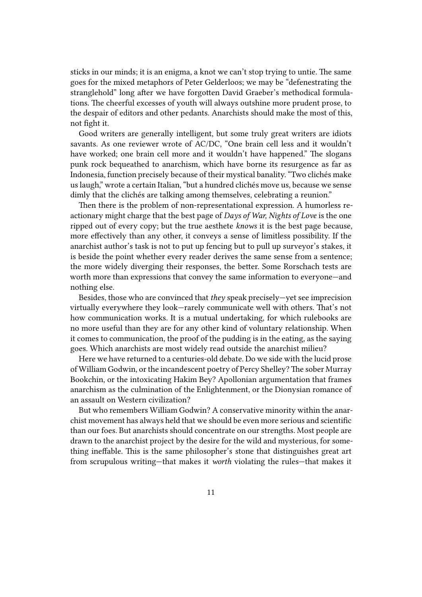sticks in our minds; it is an enigma, a knot we can't stop trying to untie. The same goes for the mixed metaphors of Peter Gelderloos; we may be "defenestrating the stranglehold" long after we have forgotten David Graeber's methodical formulations. The cheerful excesses of youth will always outshine more prudent prose, to the despair of editors and other pedants. Anarchists should make the most of this, not fight it.

Good writers are generally intelligent, but some truly great writers are idiots savants. As one reviewer wrote of AC/DC, "One brain cell less and it wouldn't have worked; one brain cell more and it wouldn't have happened." The slogans punk rock bequeathed to anarchism, which have borne its resurgence as far as Indonesia, function precisely because of their mystical banality. "Two clichés make us laugh," wrote a certain Italian, "but a hundred clichés move us, because we sense dimly that the clichés are talking among themselves, celebrating a reunion."

Then there is the problem of non-representational expression. A humorless reactionary might charge that the best page of *Days of War, Nights of Love* is the one ripped out of every copy; but the true aesthete *knows* it is the best page because, more effectively than any other, it conveys a sense of limitless possibility. If the anarchist author's task is not to put up fencing but to pull up surveyor's stakes, it is beside the point whether every reader derives the same sense from a sentence; the more widely diverging their responses, the better. Some Rorschach tests are worth more than expressions that convey the same information to everyone—and nothing else.

Besides, those who are convinced that *they* speak precisely—yet see imprecision virtually everywhere they look—rarely communicate well with others. That's not how communication works. It is a mutual undertaking, for which rulebooks are no more useful than they are for any other kind of voluntary relationship. When it comes to communication, the proof of the pudding is in the eating, as the saying goes. Which anarchists are most widely read outside the anarchist milieu?

Here we have returned to a centuries-old debate. Do we side with the lucid prose of William Godwin, or the incandescent poetry of Percy Shelley? The sober Murray Bookchin, or the intoxicating Hakim Bey? Apollonian argumentation that frames anarchism as the culmination of the Enlightenment, or the Dionysian romance of an assault on Western civilization?

But who remembers William Godwin? A conservative minority within the anarchist movement has always held that we should be even more serious and scientific than our foes. But anarchists should concentrate on our strengths. Most people are drawn to the anarchist project by the desire for the wild and mysterious, for something ineffable. This is the same philosopher's stone that distinguishes great art from scrupulous writing—that makes it *worth* violating the rules—that makes it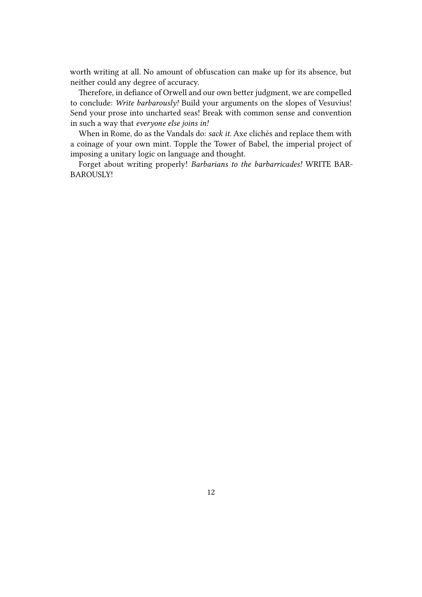worth writing at all. No amount of obfuscation can make up for its absence, but neither could any degree of accuracy.

Therefore, in defiance of Orwell and our own better judgment, we are compelled to conclude: *Write barbarously!* Build your arguments on the slopes of Vesuvius! Send your prose into uncharted seas! Break with common sense and convention in such a way that *everyone else joins in!*

When in Rome, do as the Vandals do: *sack it.* Axe clichés and replace them with a coinage of your own mint. Topple the Tower of Babel, the imperial project of imposing a unitary logic on language and thought.

Forget about writing properly! *Barbarians to the barbarricades!* WRITE BAR-BAROUSLY!